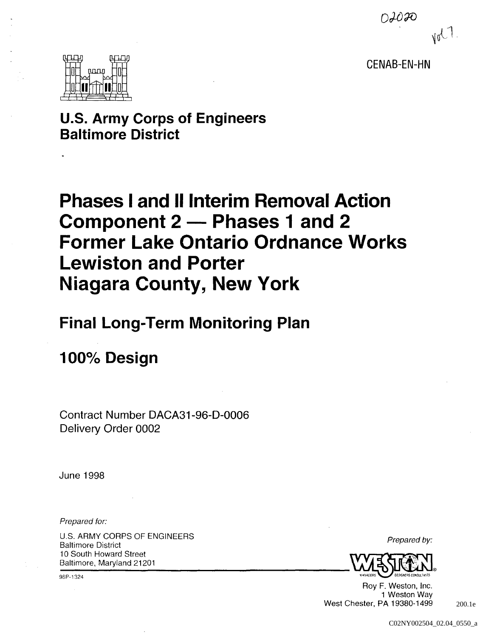$O$ *JO* FO  $M_{\text{V}}$ 

CENAB-EN-HN



### **u.s. Army Corps of Engineers Baltimore District**

# **Phases I and** II Interim **Removal Action Component 2 - Phases 1 and 2 Former Lake Ontario Ordnance Works Lewiston and Porter Niagara County, New York**

# **Final Long-Term Monitoring Plan**

# **100% Design**

Contract Number DACA31-96-D-0006 Delivery Order 0002

June 1998

Prepared for:

U.S. ARMY CORPS OF ENGINEERS Baltimore District 10 South Howard Street Baltimore, Maryland 21201

98P-1324

Prepared by:



Roy F. Weston, Inc. 1 Weston Way West Chester, PA 19380-1499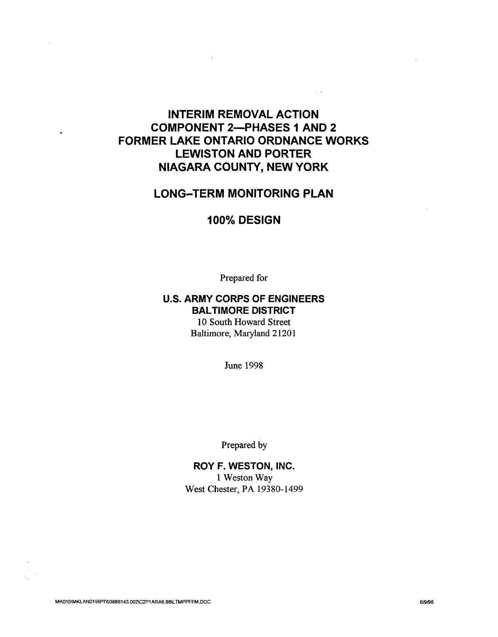### **INTERIM REMOVAL ACTION COMPONENT 2-PHASES 1 AND 2 FORMER LAKE ONTARIO ORDNANCE WORKS LEWISTON AND PORTER NIAGARA COUNTY, NEW YORK**

 $\sim$   $\sim$ 

### **LONG-TERM MONITORING PLAN**

#### **100% DESIGN**

Prepared for

#### **u.s. ARMY CORPS OF ENGINEERS SAL TIMORE DISTRICT**

10 South Howard Street Baltimore, Maryland 21201

June 1998

Prepared by

**ROY F. WESTON, INC.**  1 Weston Way West Chester, PA 19380-1499

MK01|\\MKLAN01\RPT\03886143.002\C2P1ARA6.98\LTMPPFFM.DOC 6/9/98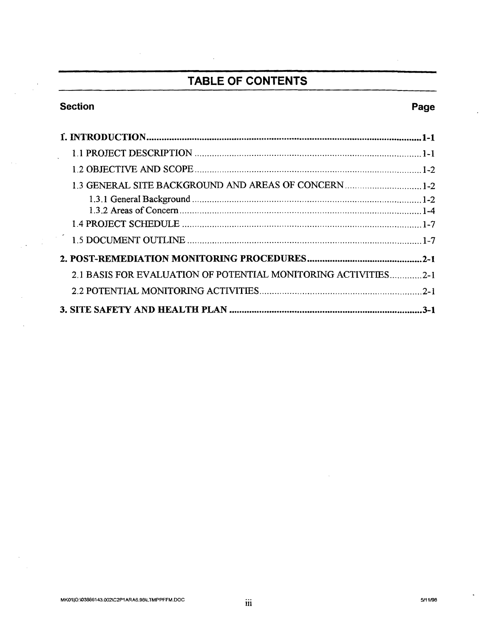### **TABLE OF CONTENTS**

#### Section **Page**

 $\sim$   $\sim$ 

 $\frac{1}{2}\sum_{i=1}^{n}\frac{1}{2}\sum_{j=1}^{n}\frac{1}{2}\sum_{j=1}^{n}\frac{1}{2}\sum_{j=1}^{n}\frac{1}{2}\sum_{j=1}^{n}\frac{1}{2}\sum_{j=1}^{n}\frac{1}{2}\sum_{j=1}^{n}\frac{1}{2}\sum_{j=1}^{n}\frac{1}{2}\sum_{j=1}^{n}\frac{1}{2}\sum_{j=1}^{n}\frac{1}{2}\sum_{j=1}^{n}\frac{1}{2}\sum_{j=1}^{n}\frac{1}{2}\sum_{j=1}^{n}\frac{1}{2}\sum_{j=1}^{n}\frac{1}{2}\sum_{j$ 

 $\overline{a}$ 

| 2.1 BASIS FOR EVALUATION OF POTENTIAL MONITORING ACTIVITIES | $2 - 1$ |
|-------------------------------------------------------------|---------|
|                                                             |         |
|                                                             | $3-1$   |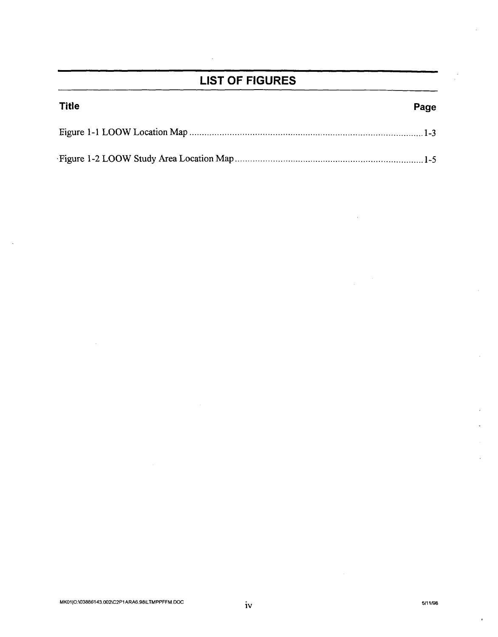### **LIST OF FIGURES**

| <b>Title</b> | Page |
|--------------|------|
|              |      |
|              |      |

 $\mathbf{r}$ 

 $\sim$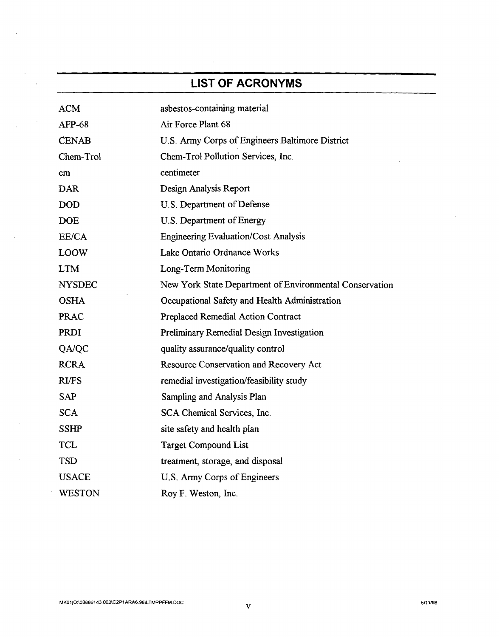## **LIST OF ACRONYMS**

| <b>ACM</b>    | asbestos-containing material                            |
|---------------|---------------------------------------------------------|
| <b>AFP-68</b> | Air Force Plant 68                                      |
| <b>CENAB</b>  | U.S. Army Corps of Engineers Baltimore District         |
| Chem-Trol     | Chem-Trol Pollution Services, Inc.                      |
| cm            | centimeter                                              |
| <b>DAR</b>    | Design Analysis Report                                  |
| <b>DOD</b>    | U.S. Department of Defense                              |
| <b>DOE</b>    | U.S. Department of Energy                               |
| EE/CA         | <b>Engineering Evaluation/Cost Analysis</b>             |
| <b>LOOW</b>   | Lake Ontario Ordnance Works                             |
| <b>LTM</b>    | Long-Term Monitoring                                    |
| <b>NYSDEC</b> | New York State Department of Environmental Conservation |
| <b>OSHA</b>   | Occupational Safety and Health Administration           |
| <b>PRAC</b>   | Preplaced Remedial Action Contract                      |
| <b>PRDI</b>   | <b>Preliminary Remedial Design Investigation</b>        |
| QA/QC         | quality assurance/quality control                       |
| <b>RCRA</b>   | Resource Conservation and Recovery Act                  |
| <b>RI/FS</b>  | remedial investigation/feasibility study                |
| <b>SAP</b>    | Sampling and Analysis Plan                              |
| <b>SCA</b>    | SCA Chemical Services, Inc.                             |
| <b>SSHP</b>   | site safety and health plan                             |
| <b>TCL</b>    | <b>Target Compound List</b>                             |
| <b>TSD</b>    | treatment, storage, and disposal                        |
| <b>USACE</b>  | U.S. Army Corps of Engineers                            |
| <b>WESTON</b> | Roy F. Weston, Inc.                                     |

 $\sim$ 

 $\bar{z}$ 

 $\mathcal{L}$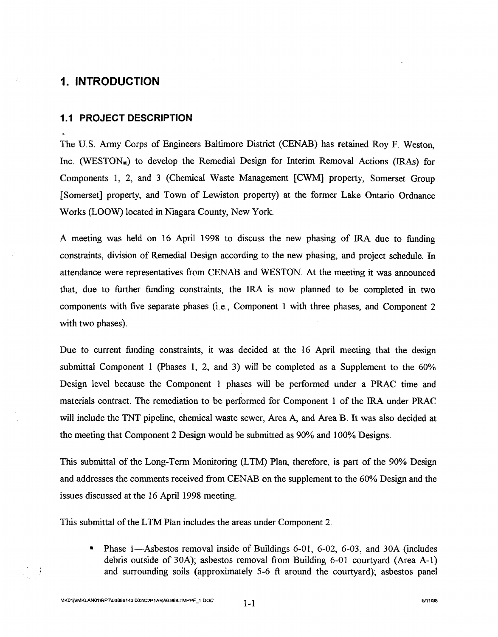#### **1. INTRODUCTION**

ΥÜ,

#### **1.1 PROJECT DESCRIPTION**

The U.S. Army Corps of Engineers Baltimore District (CENAB) has retained Roy F. Weston, Inc. (WESTON®) to develop the Remedial Design for Interim Removal Actions (IRAs) for Components 1, 2, and 3 (Chemical Waste Management [CWM] property, Somerset Group [Somerset] property, and Town of Lewiston property) at the former Lake Ontario Ordnance Works (LOOW) located in Niagara County, New York.

A meeting was held on 16 April 1998 to discuss the new phasing of IRA due to funding constraints, division of Remedial Design according to the new phasing, and project schedule. In attendance were representatives from CENAB and WESTON. At the meeting it was announced that, due to further funding constraints, the IRA is now planned to be completed in two components with five separate phases (i.e., Component 1 with three phases, and Component 2 with two phases).

Due to current funding constraints, it was decided at the 16 April meeting that the design submittal Component 1 (Phases 1, 2, and 3) will be completed as a Supplement to the  $60\%$ Design level because the Component 1 phases will be performed under a PRAC time and materials contract. The remediation to be performed for Component 1 of the IRA under PRAC will include the TNT pipeline, chemical waste sewer, Area A, and Area B. It was also decided at the meeting that Component 2 Design would be submitted as 90% and 100% Designs.

This submittal of the Long-Term Monitoring (LTM) Plan, therefore, is part of the 90% Design and addresses the comments received from CENAB on the supplement to the 60% Design and the issues discussed at the 16 April 1998 meeting.

This submittal of the LTM Plan includes the areas under Component 2.

• Phase 1—Asbestos removal inside of Buildings 6-01, 6-02, 6-03, and 30A (includes debris outside of 30A); asbestos removal from Building 6-01 courtyard (Area A-I) and surrounding soils (approximately 5-6 ft around the courtyard); asbestos panel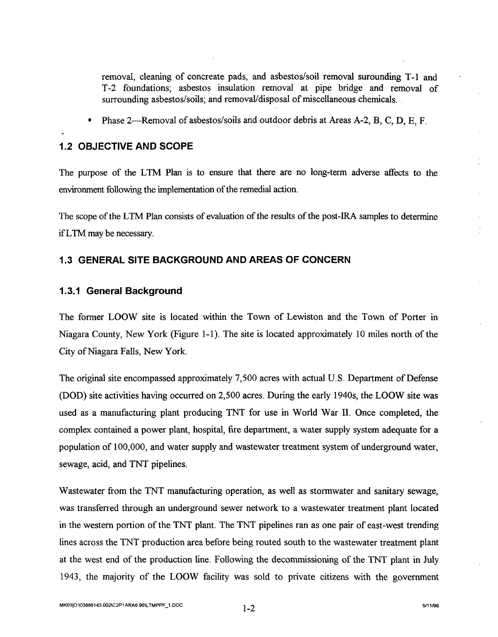removal, cleaning of concreate pads, and asbestos/soil removal surounding T-l and T -2 foundations; asbestos insulation removal at pipe bridge and removal of surrounding asbestos/soils; and removal/disposal of miscellaneous chemicals.

Phase 2—Removal of asbestos/soils and outdoor debris at Areas A-2, B, C, D, E, F.

#### **1.2 OBJECTIVE AND SCOPE**

The purpose of the LTM Plan is to ensure that there are no long-term adverse affects to the environment following the implementation of the remedial action.

The scope of the LTM Plan consists of evaluation of the results of the post-IRA samples to determine ifL TM may be necessary.

#### **1.3 GENERAL SITE BACKGROUND AND AREAS OF CONCERN**

#### **1.3.1 General Background**

The former LOOW site is located within the Town of Lewiston and the Town of Porter in Niagara County, New York (Figure 1-1). The site is located approximately 10 miles north of the City of Niagara Falls, New York.

The original site encompassed approximately 7,500 acres with actual U.S. Department of Defense (DOD) site activities having occurred on 2,500 acres. During the early 1940s, the LOOW site was used as a manufacturing plant producing TNT for use in World War II. Once completed, the complex contained a power plant, hospital, fire department, a water supply system adequate for a population of 100,000, and water supply and wastewater treatment system of underground water, sewage, acid, and TNT pipelines.

Wastewater from the TNT manufacturing operation, as well as stormwater and sanitary sewage, was transferred through an underground sewer network to a wastewater treatment plant located in the western portion of the TNT plant. The TNT pipelines ran as one pair of east-west trending lines across the TNT production area before being routed south to the wastewater treatment plant at the west end of the production line. Following the decommissioning of the TNT plant in July 1943, the majority of the LOOW facility was sold to private citizens with the government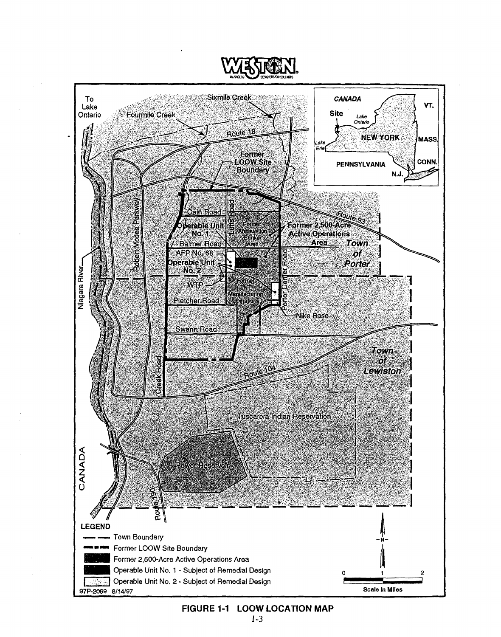

#### FIGURE 1-1 LOOW LOCATION MAP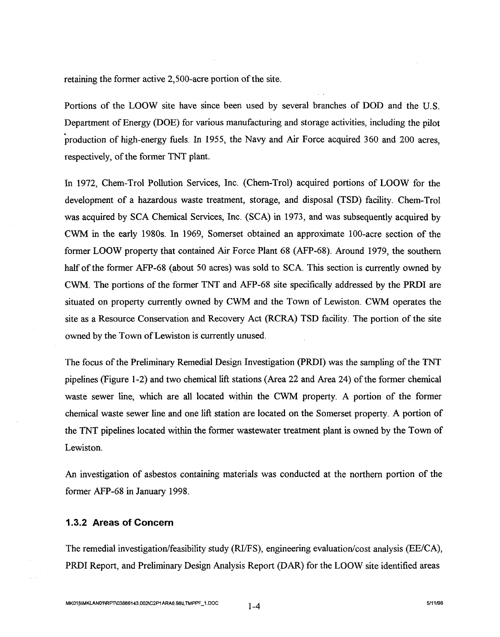retaining the former active 2,500-acre portion of the site.

Portions of the LOOW site have since been used by several branches of DOD and the U.S. Department of Energy (DOE) for various manufacturing and storage activities, including the pilot production of high-energy fuels. In 1955, the Navy and Air Force acquired 360 and 200 acres, respectively, of the former TNT plant.

In 1972, Chem-Trol Pollution Services, Inc. (Chem-Trol) acquired portions of LOOW for the development of a hazardous waste treatment, storage, and disposal (TSD) facility. Chem-Trol was acquired by SCA Chemical Services, Inc. (SCA) in 1973, and was subsequently acquired by CWM in the early 1980s. In 1969, Somerset obtained an approximate 100-acre section of the former LOOW property that contained Air Force Plant 68 (AFP-68). Around 1979, the southern half of the former AFP-68 (about 50 acres) was sold to SCA. This section is currently owned by CWM. The portions of the former TNT and AFP-68 site specifically addressed by the PRDI are situated on property currently owned by CWM and the Town of Lewiston. CWM operates the site as a Resource Conservation and Recovery Act (RCRA) TSD facility. The portion of the site owned by the Town of Lewiston is currently unused.

The focus of the Preliminary Remedial Design Investigation (PRDI) was the sampling of the TNT pipelines (Figure 1-2) and two chemical lift stations (Area 22 and Area 24) of the former chemical waste sewer line, which are all located within the CWM property. A portion of the former chemical waste sewer line and one lift station are located on the Somerset property. A portion of the TNT pipelines located within the former wastewater treatment plant is owned by the Town of Lewiston.

An investigation of asbestos containing materials was conducted at the northern portion of the former AFP-68 in January 1998.

#### **1.3.2 Areas of Concern**

The remedial investigation/feasibility study (RI/FS), engineering evaluation/cost analysis (EE/CA), PRDI Report, and Preliminary Design Analysis Report (DAR) for the LOOW site identified areas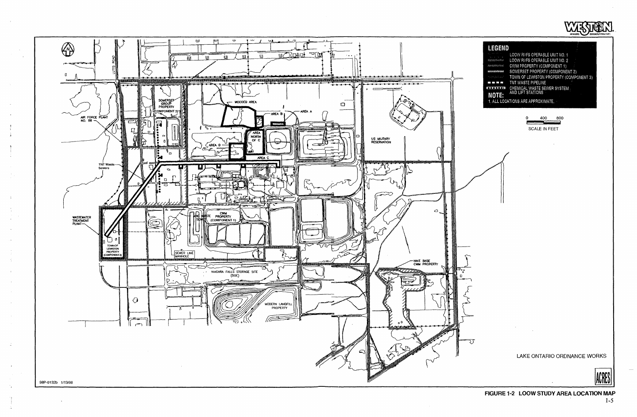







SCALE IN FEET



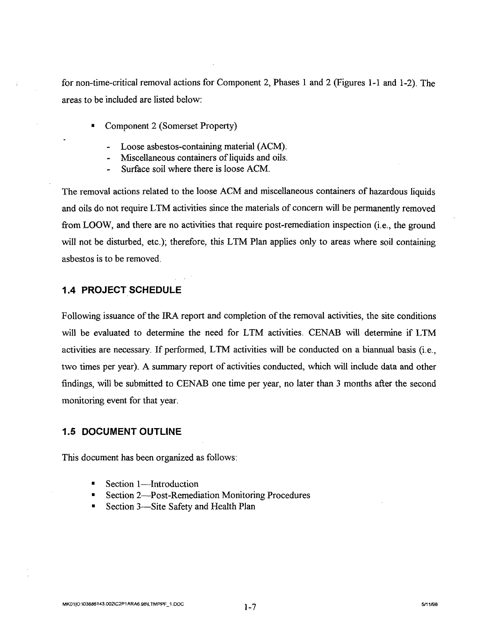for non-time-critical removal actions for Component 2, Phases 1 and 2 (Figures 1-1 and 1-2). The areas to be included are listed below:

- Component 2 (Somerset Property)
	- Loose asbestos-containing material (ACM).
	- Miscellaneous containers of liquids and oils.
	- Surface soil where there is loose ACM.

The removal actions related to the loose ACM and miscellaneous containers of hazardous liquids and oils do not require LTM activities since the materials of concern will be permanently removed from LOOW, and there are no activities that require post-remediation inspection (i.e., the ground will not be disturbed, etc.); therefore, this LTM Plan applies only to areas where soil containing asbestos is to be removed.

#### **1.4 PROJECT SCHEDULE**

Following issuance of the IRA report and completion of the removal activities, the site conditions will be evaluated to determine the need for LTM activities. CENAB will determine if LTM activities are necessary. If performed, LTM activities will be conducted on a biannual basis (i.e., two times per year). A summary report of activities conducted, which will include data and other findings, will be submitted to CENAB one time per year, no later than 3 months after the second monitoring event for that year.

#### **1.5 DOCUMENT OUTLINE**

This document has been organized as follows:

- Section 1—Introduction
- Section 2-Post-Remediation Monitoring Procedures
- Section 3-Site Safety and Health Plan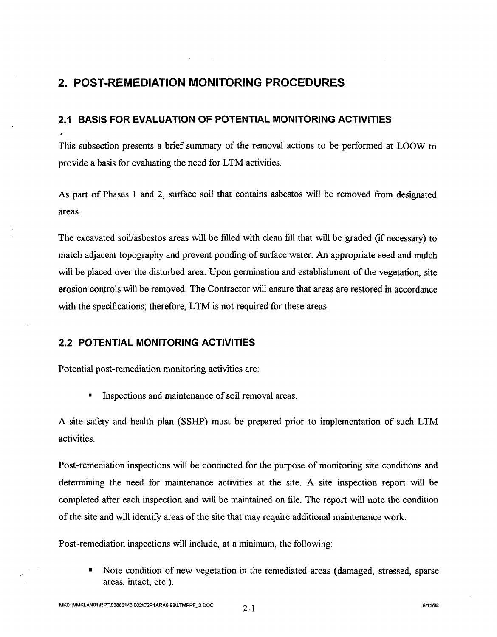### **2. POST-REMEDIATION MONITORING PROCEDURES**

#### **2.1 BASIS FOR EVALUATION OF POTENTIAL MONITORING ACTIVITIES**

This subsection presents a brief summary of the removal actions to be performed at LOOW to provide a basis for evaluating the need for LTM activities.

As part of Phases 1 and 2, surface soil that contains asbestos will be removed from designated areas.

The excavated soil/asbestos areas will be filled with clean fill that will be graded (if necessary) to match adjacent topography and prevent ponding of surface water. An appropriate seed and mulch will be placed over the disturbed area. Upon germination and establishment of the vegetation, site erosion controls will be removed. The Contractor will ensure that areas are restored in accordance with the specifications; therefore, LTM is not required for these areas.

#### **2.2 POTENTIAL MONITORING ACTIVITIES**

Potential post-remediation monitoring activities are:

**•** Inspections and maintenance of soil removal areas.

A site safety and health plan (SSHP) must be prepared prior to implementation of such LTM activities.

Post-remediation inspections will be conducted for the purpose of monitoring site conditions and determining the need for maintenance activities at the site. A site inspection report will be completed after each inspection and will be maintained on file. The report will note the condition of the site and will identify areas of the site that may require additional maintenance work.

Post-remediation inspections will include, at a minimum, the following:

• Note condition of new vegetation in the remediated areas (damaged, stressed, sparse areas, intact, etc.).